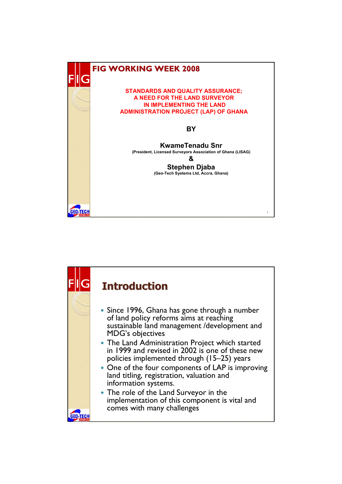

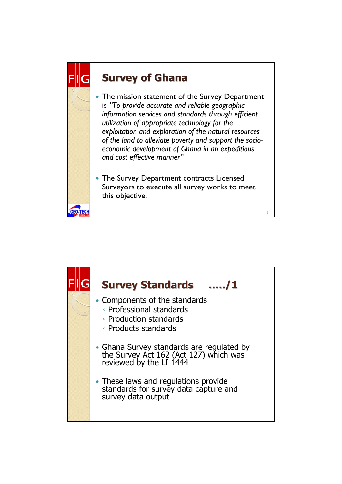## **Survey of Ghana**

**GEO-TECH** 

- The mission statement of the Survey Department is *"To provide accurate and reliable geographic information services and standards through efficient utilization of appropriate technology for the exploitation and exploration of the natural resources of the land to alleviate poverty and support the socioeconomic development of Ghana in an expeditious and cost effective manner"*
- The Survey Department contracts Licensed Surveyors to execute all survey works to meet this objective.

**3**

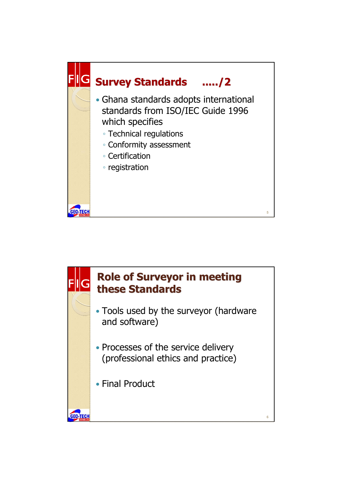

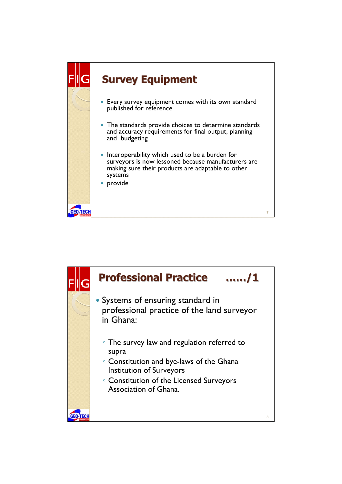

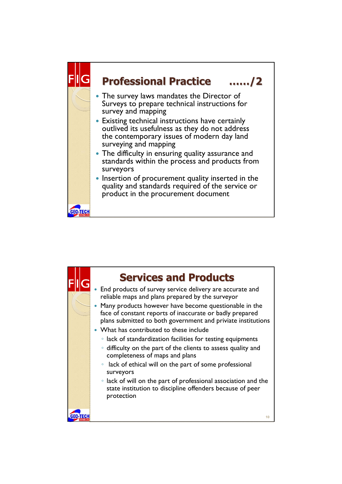

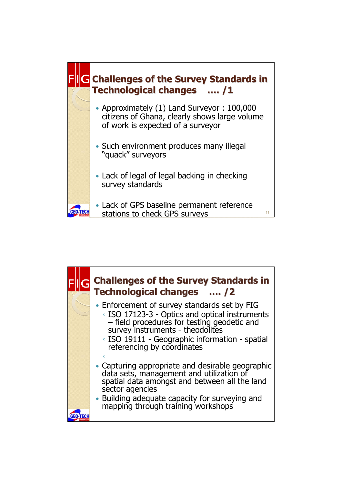

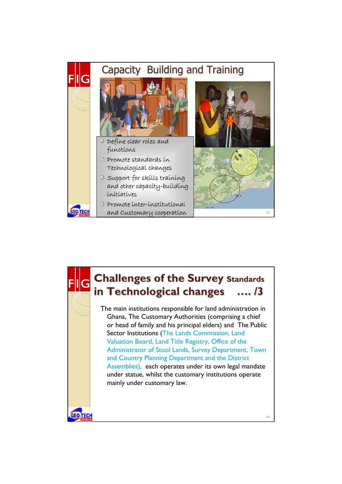

## **Challenges of the Survey Standards** in Technological changes .... /3 The main institutions responsible for land administration in Ghana, The Customary Authorities (comprising a chief or head of family and his principal elders) and The Public Sector Institutions (The Lands Commission, Land Valuation Board, Land Title Registry, Office of the Administrator of Stool Lands, Survey Department, Town and Country Planning Department and the District Assemblies), each operates under its own legal mandate under statue, whilst the customary institutions operate mainly under customary law.**GEO-TECH 14**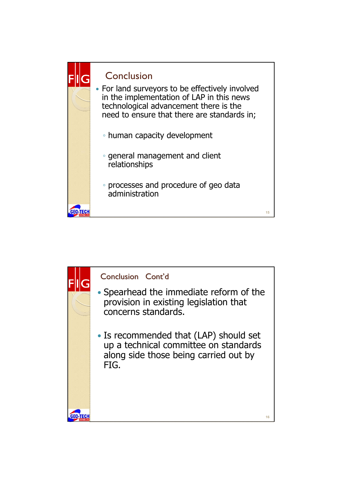